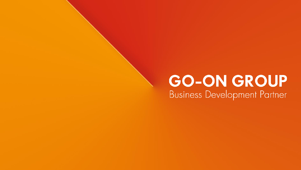### **GO-ON GROUP Business Development Partner**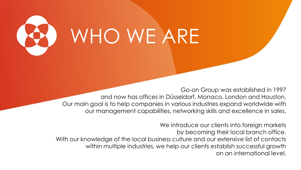

Go-on Group was established in 1997 and now has offices in Düsseldorf, Monaco, London and Houston. Our main goal is to help companies in various industries expand worldwide with our management capabilities, networking skills and excellence in sales.

We introduce our clients into foreign markets by becoming their local branch office. With our knowledge of the local business culture and our extensive list of contacts within multiple industries, we help our clients establish successful growth on an international level.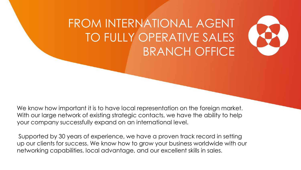

### FROM INTERNATIONAL AGENT TO FULLY OPERATIVE SALES BRANCH OFFICE

We know how important it is to have local representation on the foreign market. With our large network of existing strategic contacts, we have the ability to help your company successfully expand on an international level.

Supported by 30 years of experience, we have a proven track record in setting up our clients for success. We know how to grow your business worldwide with our networking capabilities, local advantage, and our excellent skills in sales.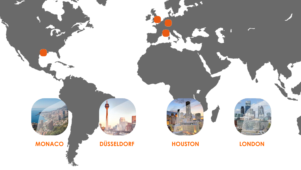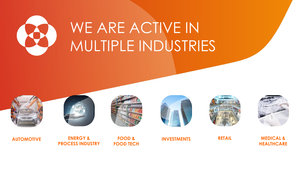

## WE ARE ACTIVE IN MULTIPLE INDUSTRIES















**MEDICAL & HEALTHCARE**

**AUTOMOTIVE FOOD & RETAIL ENERGY & PROCESS INDUSTRY**

**FOOD TECH**

**INVESTMENTS**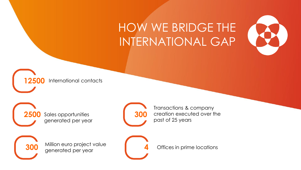### HOW WE BRIDGE THE INTERNATIONAL GAP



**12500** International contacts

**2500** Sales opportunities generated per year

**300**

Million euro project value generated per year

**300**

**4**

Transactions & company creation executed over the past of 25 years

Offices in prime locations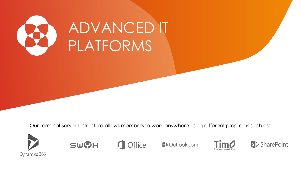

# ADVANCED IT PLATFORMS

Our Terminal Server IT structure allows members to work anywhere using different programs such as:







**DE Outlook.com** 



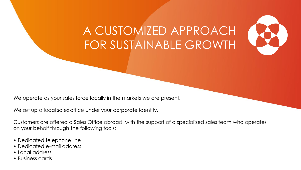

### A CUSTOMIZED APPROACH FOR SUSTAINABLE GROWTH

We operate as your sales force locally in the markets we are present.

We set up a local sales office under your corporate identity.

Customers are offered a Sales Office abroad, with the support of a specialized sales team who operates on your behalf through the following tools:

- Dedicated telephone line
- Dedicated e-mail address
- Local address
- Business cards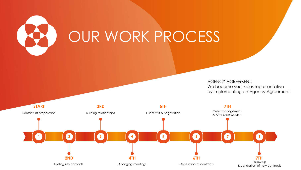

AGENCY AGREEMENT: We become your sales representative by implementing an Agency Agreement.

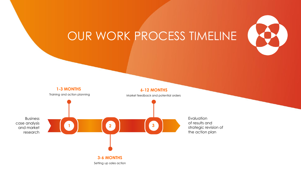

### OUR WORK PROCESS TIMELINE

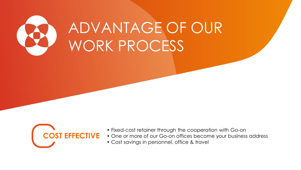



- Fixed-cost retainer through the cooperation with Go-on
- One or more of our Go-on offices become your business address
- Cost savings in personnel, office & travel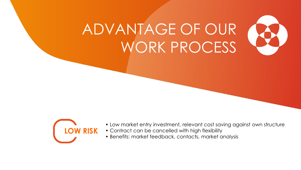



- Low market entry investment, relevant cost saving against own structure
- Contract can be cancelled with high flexibility
- Benefits: market feedback, contacts, market analysis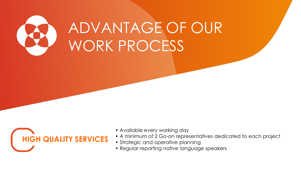



- Available every working day
- A minimum of 2 Go-on representatives dedicated to each project
- Strategic and operative planning
- Regular reporting native language speakers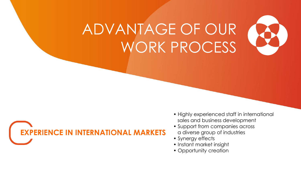



- Highly experienced staff in international sales and business development
- Support from companies across a diverse group of industries
- Synergy effects
- Instant market insight
- Opportunity creation